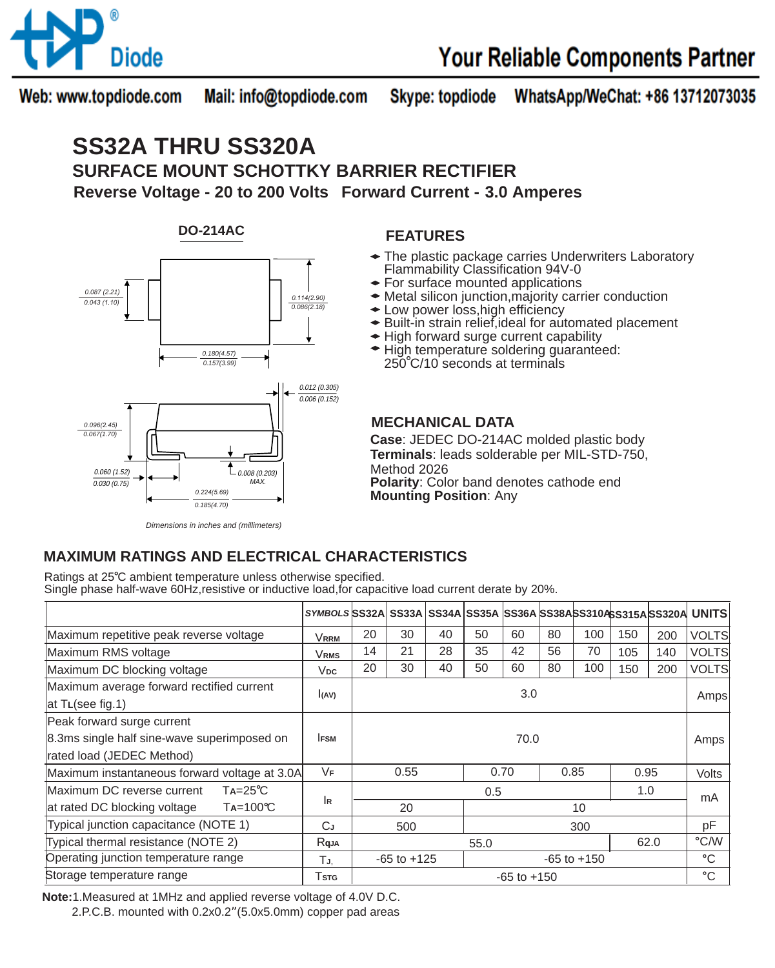

Web: www.topdiode.com Mail: info@topdiode.com **Skype: topdiode** WhatsApp/WeChat: +86 13712073035

# **SS32A THRU SS320A**

**SURFACE MOUNT SCHOTTKY BARRIER RECTIFIER Reverse Voltage - 20 to 200 Volts Forward Current - 3.0 Amperes**



#### **FEATURES**

- The plastic package carries Underwriters Laboratory Flammability Classification 94V-0
- For surface mounted applications
- Metal silicon junction,majority carrier conduction
- Low power loss,high efficiency
- Built-in strain relief,ideal for automated placement
- High forward surge current capability
- **★ High temperature soldering guaranteed:** 250 C/10 seconds at terminals

### **MECHANICAL DATA**

**Case**: JEDEC DO-214AC molded plastic body **Terminals**: leads solderable per MIL-STD-750, Method 2026 **Polarity**: Color band denotes cathode end **Mounting Position**: Any

### **MAXIMUM RATINGS AND ELECTRICAL CHARACTERISTICS**

Ratings at 25°C ambient temperature unless otherwise specified. Single phase half-wave 60Hz,resistive or inductive load,for capacitive load current derate by 20%.

|                                                   | SYMBOLS SS32A SS33A SS34A SS35A SS36A SS38ASS310ASS315A SS320A UNITS |                 |    |    |                 |              |    |      |     |       |              |
|---------------------------------------------------|----------------------------------------------------------------------|-----------------|----|----|-----------------|--------------|----|------|-----|-------|--------------|
| Maximum repetitive peak reverse voltage           | VRRM                                                                 | 20              | 30 | 40 | 50              | 60           | 80 | 100  | 150 | 200   | VOLTS        |
| Maximum RMS voltage                               | Vrms                                                                 | 14              | 21 | 28 | 35              | 42           | 56 | 70   | 105 | 140   | <b>VOLTS</b> |
| Maximum DC blocking voltage                       | <b>V<sub>DC</sub></b>                                                | 20              | 30 | 40 | 50              | 60           | 80 | 100  | 150 | 200   | <b>VOLTS</b> |
| Maximum average forward rectified current         | (AV)                                                                 | 3.0             |    |    |                 |              |    |      |     |       | Amps         |
| at TL(see fig.1)                                  |                                                                      |                 |    |    |                 |              |    |      |     |       |              |
| Peak forward surge current                        |                                                                      |                 |    |    |                 |              |    |      |     |       |              |
| 8.3ms single half sine-wave superimposed on       | <b>IFSM</b>                                                          | 70.0            |    |    |                 |              |    |      |     |       | Amps         |
| rated load (JEDEC Method)                         |                                                                      |                 |    |    |                 |              |    |      |     |       |              |
| Maximum instantaneous forward voltage at 3.0A     | VF                                                                   | 0.55            |    |    |                 | 0.85<br>0.70 |    | 0.95 |     | Volts |              |
| Maximum DC reverse current<br>$Ta = 25^{\circ}C$  |                                                                      | 1.0<br>0.5      |    |    |                 |              |    |      |     |       | mA           |
| at rated DC blocking voltage<br>$Ta=100^{\circ}C$ | İR                                                                   | 20              |    |    | 10              |              |    |      |     |       |              |
| Typical junction capacitance (NOTE 1)             | СJ                                                                   | 500             |    |    | 300             |              |    |      |     |       | pF           |
| Typical thermal resistance (NOTE 2)               | Rqja                                                                 | 62.0<br>55.0    |    |    |                 |              |    | °C/W |     |       |              |
| Operating junction temperature range              | TJ.                                                                  | $-65$ to $+125$ |    |    | $-65$ to $+150$ |              |    |      |     |       | °C           |
| Storage temperature range                         | Tstg                                                                 | $-65$ to $+150$ |    |    |                 |              |    |      |     |       | $^{\circ}$ C |

**Note:**1.Measured at 1MHz and applied reverse voltage of 4.0V D.C.

2.P.C.B. mounted with 0.2x0.2"(5.0x5.0mm) copper pad areas